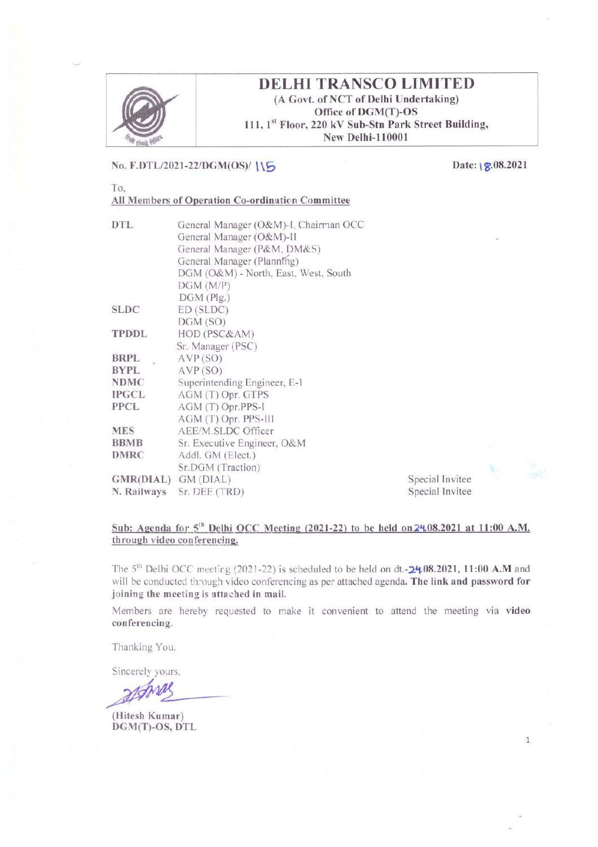

# **DELHI TRANSCO LIMITED**

(A Govt. of NCT of Delhi Undertaking) Office of DGM(T)-OS 111, 1st Floor, 220 kV Sub-Stn Park Street Building, New Delhi-110001

## No. F.DTL/2021-22/DGM(OS)/ 115

Date:  $|8.08.2021$ 

To. All Members of Operation Co-ordination Committee

| DTL                 | General Manager (O&M)-I, Chairman OCC<br>General Manager (O&M)-II |  |  |  |  |
|---------------------|-------------------------------------------------------------------|--|--|--|--|
|                     | General Manager (P&M, DM&S)                                       |  |  |  |  |
|                     | General Manager (Planning)                                        |  |  |  |  |
|                     | DGM (O&M) - North, East, West, South                              |  |  |  |  |
|                     | DGM(M/P)                                                          |  |  |  |  |
|                     | $DGM$ (Plg.)                                                      |  |  |  |  |
| <b>SLDC</b>         | ED(SLDC)                                                          |  |  |  |  |
|                     | DGM(SO)                                                           |  |  |  |  |
| <b>TPDDL</b>        | HOD (PSC&AM)                                                      |  |  |  |  |
|                     | Sr. Manager (PSC)                                                 |  |  |  |  |
| BRPL                | AVP(SO)                                                           |  |  |  |  |
| <b>BYPL</b>         | AVP(SO)                                                           |  |  |  |  |
| <b>NDMC</b>         | Superintending Engineer, E-1                                      |  |  |  |  |
| IPGCL               | AGM (T) Opr. GTPS                                                 |  |  |  |  |
| <b>PPCL</b>         | AGM (T) Opr.PPS-I                                                 |  |  |  |  |
|                     | AGM (T) Opr. PPS-III                                              |  |  |  |  |
| <b>MES</b>          | AEE/M.SLDC Officer                                                |  |  |  |  |
| <b>BBMB</b>         | Sr. Executive Engineer, O&M                                       |  |  |  |  |
| <b>DMRC</b>         | Addl. GM (Elect.)                                                 |  |  |  |  |
|                     | Sr.DGM (Traction)                                                 |  |  |  |  |
| GMR(DIAL) GM (DIAL) |                                                                   |  |  |  |  |
| N. Railways         | Sr. DEE (TRD)                                                     |  |  |  |  |

#### Special Invitee Special Invitee

 $\mathbf 1$ 

#### Sub: Agenda for  $5<sup>th</sup>$  Delhi OCC Meeting (2021-22) to be held on  $24.08.2021$  at 11:00 A.M. through video conferencing.

The 5<sup>th</sup> Delhi OCC meeting (2021-22) is scheduled to be held on dt.- $24.08.2021$ , 11:00 A.M and will be conducted through video conferencing as per attached agenda. The link and password for joining the meeting is attached in mail.

Members are hereby requested to make it convenient to attend the meeting via video conferencing.

Thanking You.

Sincerely yours.

(Hitesh Kumar) DGM(T)-OS, DTL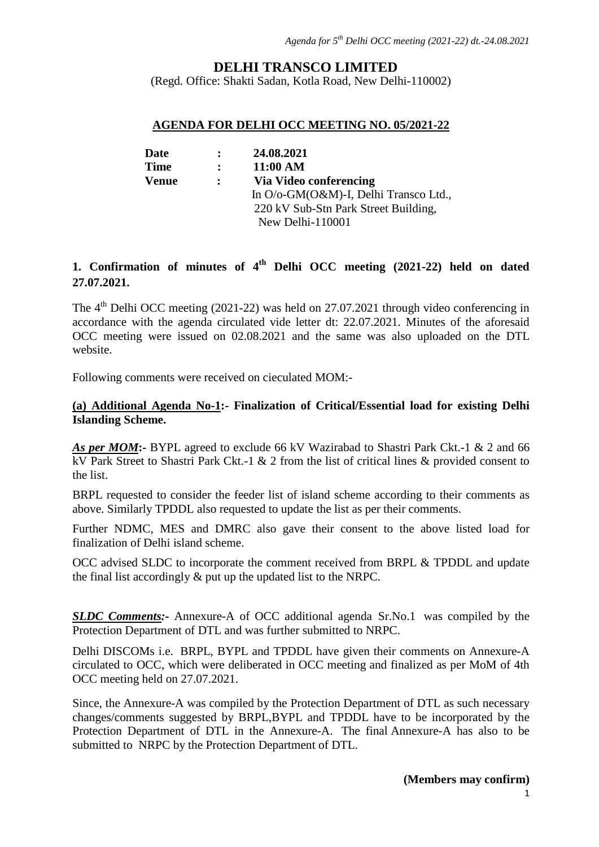## **DELHI TRANSCO LIMITED**

(Regd. Office: Shakti Sadan, Kotla Road, New Delhi-110002)

#### **AGENDA FOR DELHI OCC MEETING NO. 05/2021-22**

| Date        | $\mathbf{r}$ | 24.08.2021                            |
|-------------|--------------|---------------------------------------|
| <b>Time</b> | $\mathbf{r}$ | 11:00 AM                              |
| Venue       | $\mathbf{L}$ | Via Video conferencing                |
|             |              | In O/o-GM(O&M)-I, Delhi Transco Ltd., |
|             |              | 220 kV Sub-Stn Park Street Building,  |
|             |              | New Delhi-110001                      |

# **1. Confirmation of minutes of 4th Delhi OCC meeting (2021-22) held on dated 27.07.2021.**

The 4<sup>th</sup> Delhi OCC meeting (2021-22) was held on 27.07.2021 through video conferencing in accordance with the agenda circulated vide letter dt: 22.07.2021. Minutes of the aforesaid OCC meeting were issued on 02.08.2021 and the same was also uploaded on the DTL website.

Following comments were received on cieculated MOM:-

## **(a) Additional Agenda No-1:- Finalization of Critical/Essential load for existing Delhi Islanding Scheme.**

*As per MOM***:-** BYPL agreed to exclude 66 kV Wazirabad to Shastri Park Ckt.-1 & 2 and 66 kV Park Street to Shastri Park Ckt.-1 & 2 from the list of critical lines & provided consent to the list.

BRPL requested to consider the feeder list of island scheme according to their comments as above. Similarly TPDDL also requested to update the list as per their comments.

Further NDMC, MES and DMRC also gave their consent to the above listed load for finalization of Delhi island scheme.

OCC advised SLDC to incorporate the comment received from BRPL & TPDDL and update the final list accordingly & put up the updated list to the NRPC.

*SLDC Comments:-* Annexure-A of OCC additional agenda Sr.No.1 was compiled by the Protection Department of DTL and was further submitted to NRPC.

Delhi DISCOMs i.e. BRPL, BYPL and TPDDL have given their comments on Annexure-A circulated to OCC, which were deliberated in OCC meeting and finalized as per MoM of 4th OCC meeting held on 27.07.2021.

Since, the Annexure-A was compiled by the Protection Department of DTL as such necessary changes/comments suggested by BRPL,BYPL and TPDDL have to be incorporated by the Protection Department of DTL in the Annexure-A. The final Annexure-A has also to be submitted to NRPC by the Protection Department of DTL.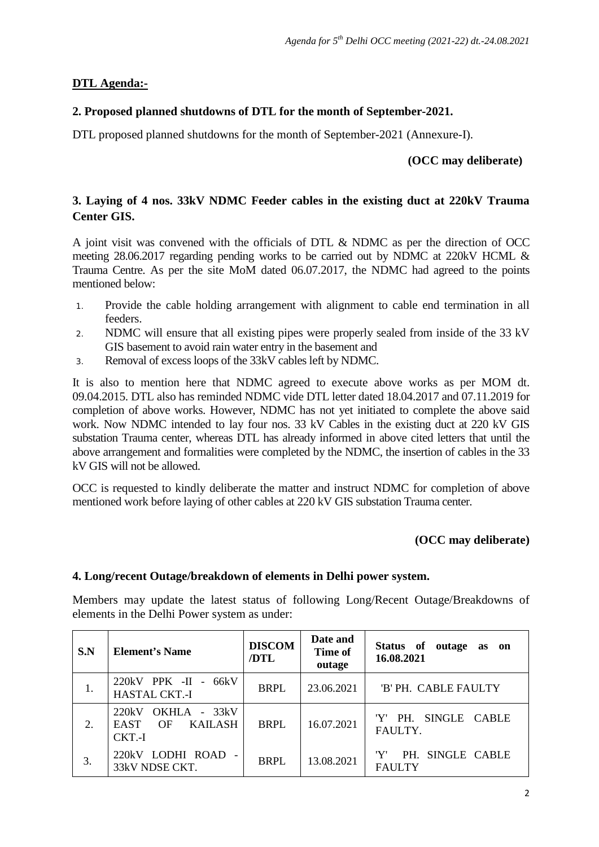## **DTL Agenda:-**

## **2. Proposed planned shutdowns of DTL for the month of September-2021.**

DTL proposed planned shutdowns for the month of September-2021 (Annexure-I).

## **(OCC may deliberate)**

## **3. Laying of 4 nos. 33kV NDMC Feeder cables in the existing duct at 220kV Trauma Center GIS.**

A joint visit was convened with the officials of DTL & NDMC as per the direction of OCC meeting 28.06.2017 regarding pending works to be carried out by NDMC at 220kV HCML & Trauma Centre. As per the site MoM dated 06.07.2017, the NDMC had agreed to the points mentioned below:

- 1. Provide the cable holding arrangement with alignment to cable end termination in all feeders.
- 2. NDMC will ensure that all existing pipes were properly sealed from inside of the 33 kV GIS basement to avoid rain water entry in the basement and
- 3. Removal of excess loops of the 33kV cables left by NDMC.

It is also to mention here that NDMC agreed to execute above works as per MOM dt. 09.04.2015. DTL also has reminded NDMC vide DTL letter dated 18.04.2017 and 07.11.2019 for completion of above works. However, NDMC has not yet initiated to complete the above said work. Now NDMC intended to lay four nos. 33 kV Cables in the existing duct at 220 kV GIS substation Trauma center, whereas DTL has already informed in above cited letters that until the above arrangement and formalities were completed by the NDMC, the insertion of cables in the 33 kV GIS will not be allowed.

OCC is requested to kindly deliberate the matter and instruct NDMC for completion of above mentioned work before laying of other cables at 220 kV GIS substation Trauma center.

#### **(OCC may deliberate)**

#### **4. Long/recent Outage/breakdown of elements in Delhi power system.**

Members may update the latest status of following Long/Recent Outage/Breakdowns of elements in the Delhi Power system as under:

| S.N | <b>Element's Name</b>                                           | <b>DISCOM</b><br>/DTL | Date and<br>Time of<br>outage | Status of outage<br><b>as</b><br>on<br>16.08.2021 |
|-----|-----------------------------------------------------------------|-----------------------|-------------------------------|---------------------------------------------------|
| 1.  | $220kV$ PPK -II - $66kV$<br><b>HASTAL CKT.-I</b>                | <b>BRPL</b>           | 23.06.2021                    | 'B' PH. CABLE FAULTY                              |
| 2.  | OKHLA - 33kV<br>220kV<br>OF<br>KAILASH<br><b>EAST</b><br>CKT.-I | <b>BRPL</b>           | 16.07.2021                    | PH. SINGLE CABLE<br>FAULTY.                       |
| 3.  | LODHI ROAD<br>220kV<br>33kV NDSE CKT.                           | <b>BRPL</b>           | 13.08.2021                    | 'Y'<br>PH. SINGLE CABLE<br><b>FAULTY</b>          |